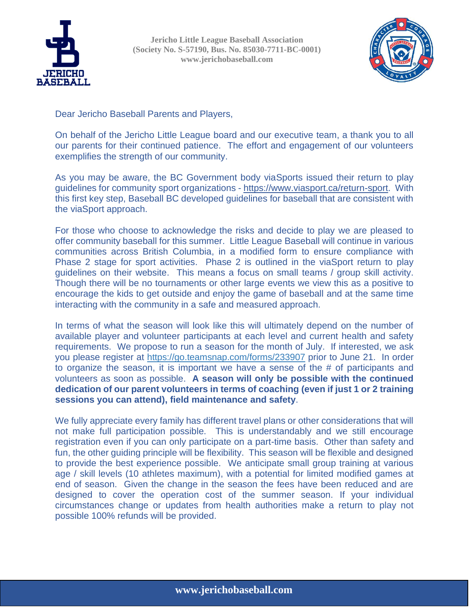

**Jericho Little League Baseball Association (Society No. S-57190, Bus. No. 85030-7711-BC-0001) www.jerichobaseball.com**



Dear Jericho Baseball Parents and Players,

On behalf of the Jericho Little League board and our executive team, a thank you to all our parents for their continued patience. The effort and engagement of our volunteers exemplifies the strength of our community.

As you may be aware, the BC Government body viaSports issued their return to play guidelines for community sport organizations - [https://www.viasport.ca/return-sport.](https://www.viasport.ca/return-sport) With this first key step, Baseball BC developed guidelines for baseball that are consistent with the viaSport approach.

For those who choose to acknowledge the risks and decide to play we are pleased to offer community baseball for this summer. Little League Baseball will continue in various communities across British Columbia, in a modified form to ensure compliance with Phase 2 stage for sport activities. Phase 2 is outlined in the viaSport return to play guidelines on their website. This means a focus on small teams / group skill activity. Though there will be no tournaments or other large events we view this as a positive to encourage the kids to get outside and enjoy the game of baseball and at the same time interacting with the community in a safe and measured approach.

In terms of what the season will look like this will ultimately depend on the number of available player and volunteer participants at each level and current health and safety requirements. We propose to run a season for the month of July. If interested, we ask you please register at<https://go.teamsnap.com/forms/233907> prior to June 21. In order to organize the season, it is important we have a sense of the # of participants and volunteers as soon as possible. **A season will only be possible with the continued dedication of our parent volunteers in terms of coaching (even if just 1 or 2 training sessions you can attend), field maintenance and safety**.

We fully appreciate every family has different travel plans or other considerations that will not make full participation possible. This is understandably and we still encourage registration even if you can only participate on a part-time basis. Other than safety and fun, the other guiding principle will be flexibility. This season will be flexible and designed to provide the best experience possible. We anticipate small group training at various age / skill levels (10 athletes maximum), with a potential for limited modified games at end of season. Given the change in the season the fees have been reduced and are designed to cover the operation cost of the summer season. If your individual circumstances change or updates from health authorities make a return to play not possible 100% refunds will be provided.